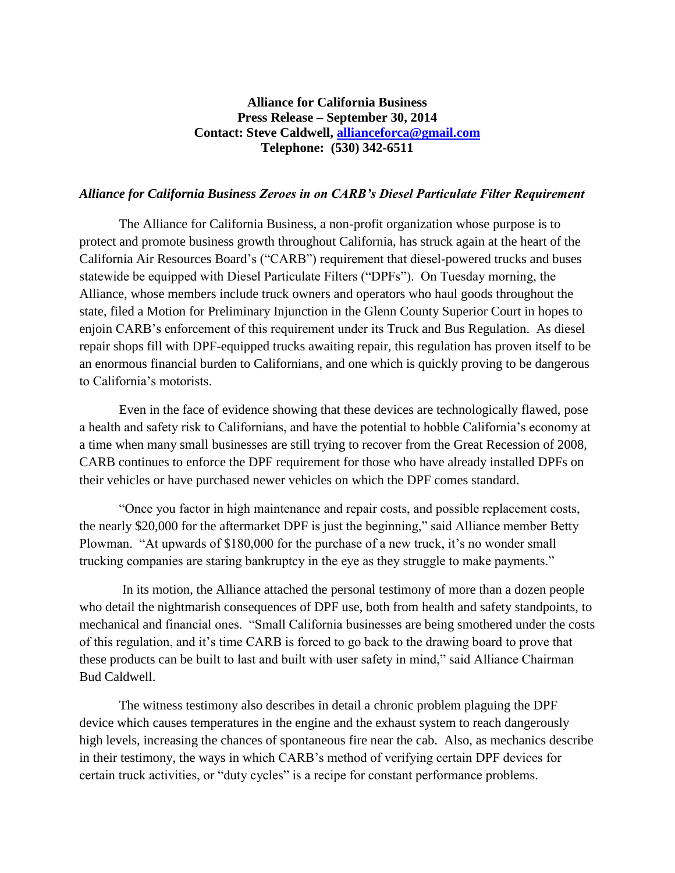## **Alliance for California Business Press Release – September 30, 2014 Contact: Steve Caldwell, [allianceforca@gmail.com](mailto:allianceforca@gmail.com) Telephone: (530) 342-6511**

## *Alliance for California Business Zeroes in on CARB's Diesel Particulate Filter Requirement*

The Alliance for California Business, a non-profit organization whose purpose is to protect and promote business growth throughout California, has struck again at the heart of the California Air Resources Board's ("CARB") requirement that diesel-powered trucks and buses statewide be equipped with Diesel Particulate Filters ("DPFs"). On Tuesday morning, the Alliance, whose members include truck owners and operators who haul goods throughout the state, filed a Motion for Preliminary Injunction in the Glenn County Superior Court in hopes to enjoin CARB's enforcement of this requirement under its Truck and Bus Regulation. As diesel repair shops fill with DPF-equipped trucks awaiting repair, this regulation has proven itself to be an enormous financial burden to Californians, and one which is quickly proving to be dangerous to California's motorists.

Even in the face of evidence showing that these devices are technologically flawed, pose a health and safety risk to Californians, and have the potential to hobble California's economy at a time when many small businesses are still trying to recover from the Great Recession of 2008, CARB continues to enforce the DPF requirement for those who have already installed DPFs on their vehicles or have purchased newer vehicles on which the DPF comes standard.

"Once you factor in high maintenance and repair costs, and possible replacement costs, the nearly \$20,000 for the aftermarket DPF is just the beginning," said Alliance member Betty Plowman. "At upwards of \$180,000 for the purchase of a new truck, it's no wonder small trucking companies are staring bankruptcy in the eye as they struggle to make payments."

In its motion, the Alliance attached the personal testimony of more than a dozen people who detail the nightmarish consequences of DPF use, both from health and safety standpoints, to mechanical and financial ones. "Small California businesses are being smothered under the costs of this regulation, and it's time CARB is forced to go back to the drawing board to prove that these products can be built to last and built with user safety in mind," said Alliance Chairman Bud Caldwell.

The witness testimony also describes in detail a chronic problem plaguing the DPF device which causes temperatures in the engine and the exhaust system to reach dangerously high levels, increasing the chances of spontaneous fire near the cab. Also, as mechanics describe in their testimony, the ways in which CARB's method of verifying certain DPF devices for certain truck activities, or "duty cycles" is a recipe for constant performance problems.